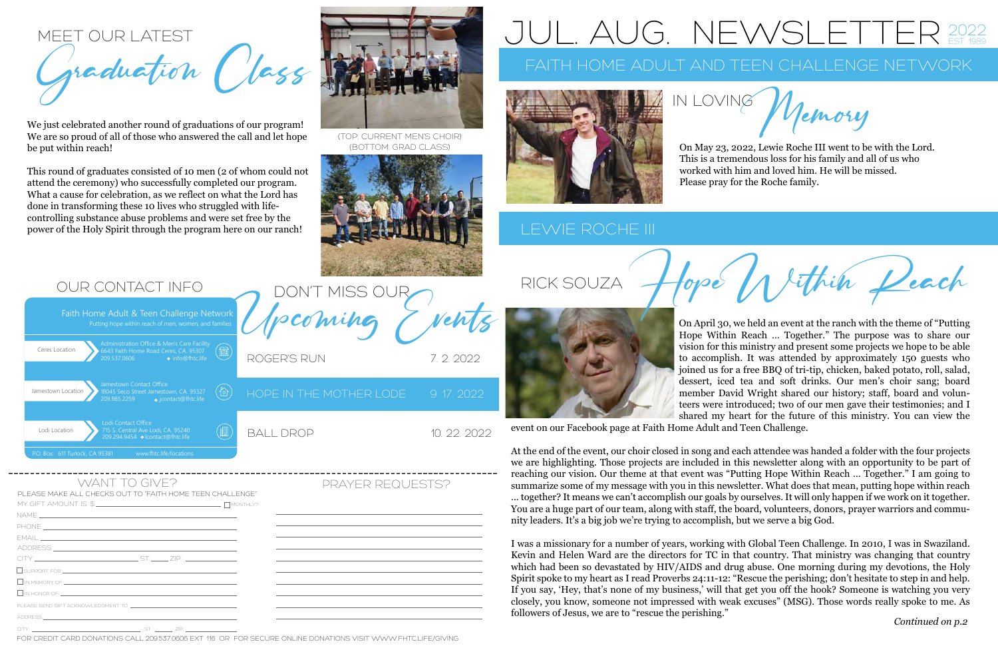On April 30, we held an event at the ranch with the theme of "Putting Hope Within Reach … Together." The purpose was to share our vision for this ministry and present some projects we hope to be able to accomplish. It was attended by approximately 150 guests who joined us for a free BBQ of tri-tip, chicken, baked potato, roll, salad, dessert, iced tea and soft drinks. Our men's choir sang; board member David Wright shared our history; staff, board and volunteers were introduced; two of our men gave their testimonies; and I shared my heart for the future of this ministry. You can view the event on our Facebook page at Faith Home Adult and Teen Challenge.

At the end of the event, our choir closed in song and each attendee was handed a folder with the four projects we are highlighting. Those projects are included in this newsletter along with an opportunity to be part of reaching our vision. Our theme at that event was "Putting Hope Within Reach … Together." I am going to summarize some of my message with you in this newsletter. What does that mean, putting hope within reach … together? It means we can't accomplish our goals by ourselves. It will only happen if we work on it together. You are a huge part of our team, along with staff, the board, volunteers, donors, prayer warriors and community leaders. It's a big job we're trying to accomplish, but we serve a big God.

Putting hope within reach of men, women, and famil Faith Home Adult & Teen Challenge Network

MEET OUR LATEST graduation

I was a missionary for a number of years, working with Global Teen Challenge. In 2010, I was in Swaziland. Kevin and Helen Ward are the directors for TC in that country. That ministry was changing that country which had been so devastated by HIV/AIDS and drug abuse. One morning during my devotions, the Holy Spirit spoke to my heart as I read Proverbs 24:11-12: "Rescue the perishing; don't hesitate to step in and help. If you say, 'Hey, that's none of my business,' will that get you off the hook? Someone is watching you very closely, you know, someone not impressed with weak excuses" (MSG). Those words really spoke to me. As followers of Jesus, we are to "rescue the perishing."

FOR CREDIT CARD DONATIONS CALL 209537.0606 FXT 116 OR FOR SECURE ONLINE DONATIONS VISIT WWW.FHTC.LIFE/GIVING

PLEASE MAKE ALL CHECKS OUT TO "FAITH HOME TEEN CHALLENGE"

DON'T MISS OUR

|                            | ,我们也不会有什么。""我们的人,我们也不会有什么?""我们的人,我们也不会有什么?""我们的人,我们也不会有什么?""我们的人,我们也不会有什么?""我们的人                                      |
|----------------------------|-----------------------------------------------------------------------------------------------------------------------|
|                            |                                                                                                                       |
|                            | ,我们也不会有什么。""我们的人,我们也不会有什么?""我们的人,我们也不会有什么?""我们的人,我们也不会有什么?""我们的人,我们也不会有什么?""我们的人                                      |
|                            | <u> 1989 - Johann Harry Harry Harry Harry Harry Harry Harry Harry Harry Harry Harry Harry Harry Harry Harry Harry</u> |
|                            |                                                                                                                       |
|                            | ,我们也不能会有什么。""我们的人,我们也不能会有什么?""我们的人,我们也不能会有什么?""我们的人,我们也不能会有什么?""我们的人,我们也不能会有什么?""                                     |
| $\Box$ IN HONOR OF: $\Box$ |                                                                                                                       |
|                            |                                                                                                                       |
|                            |                                                                                                                       |
|                            |                                                                                                                       |

# AUG. NEW



## LEWIE ROCHE III



| Administration Office & Men's Care Facility<br>Ceres Location<br>6643 Faith Home Road Ceres, CA. 95307<br>209.537.0606<br><b>•</b> info@fhtc.life |  |
|---------------------------------------------------------------------------------------------------------------------------------------------------|--|
| Jamestown Contact Office<br>Jamestown Location<br>18045 Seco Street Jamestown, CA. 95327<br>209.985.2259<br>o jcontact@fhtc.life                  |  |
| Lodi Contact Office<br>715 S. Central Ave Lodi, CA. 95240<br>Lodi Location<br>209.294.9454<br><b> o</b> Icontact@fhtc.life                        |  |
| P.O. Box: 611 Turlock, CA 95381<br>www.fhtc.life/locations                                                                                        |  |

### OUR CONTACT INFO

RICK SOUZA



On May 23, 2022, Lewie Roche III went to be with the Lord. This is a tremendous loss for his family and all of us who worked with him and loved him. He will be missed.

Jemory

Please pray for the Roche family.

Jethin Deach

We just celebrated another round of graduations of our program! We are so proud of all of those who answered the call and let hope be put within reach!

This round of graduates consisted of 10 men (2 of whom could not attend the ceremony) who successfully completed our program. What a cause for celebration, as we reflect on what the Lord has done in transforming these 10 lives who struggled with lifecontrolling substance abuse problems and were set free by the power of the Holy Spirit through the program here on our ranch!

(TOP: CURRENT MEN'S CHOIR) (BOTTOM: GRAD CLASS)

ROGER'S RUN 7.2.2022

HOPE IN THE MOTHER LODE 9.17. 2022 BALL DROP 10. 22. 2022

WANT TO GIVE? PRAYER REQUESTS?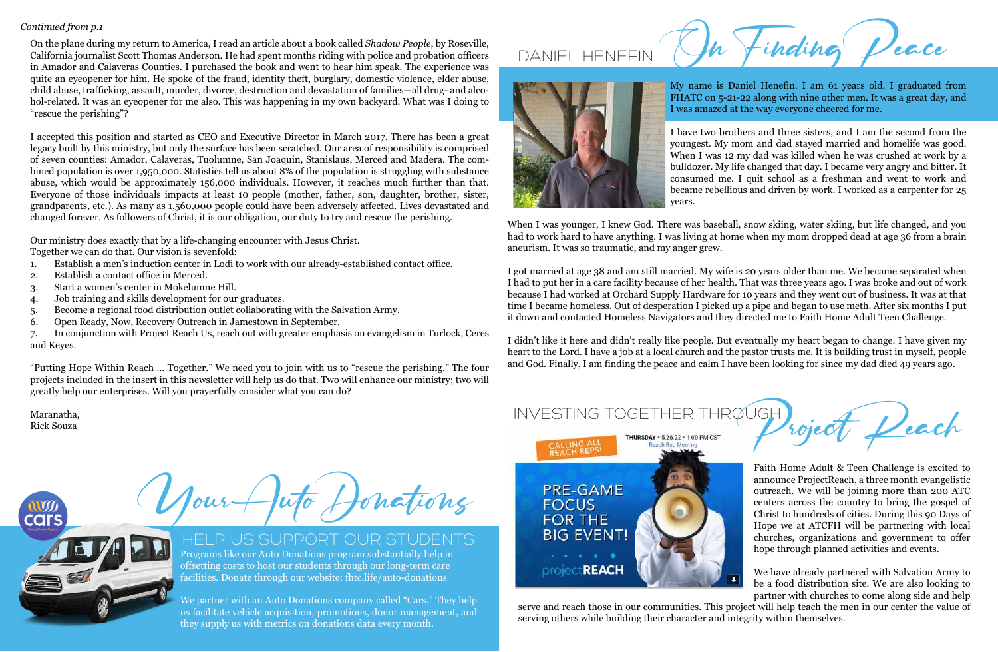My name is Daniel Henefin. I am 61 years old. I graduated from FHATC on 5-21-22 along with nine other men. It was a great day, and I was amazed at the way everyone cheered for me.

I have two brothers and three sisters, and I am the second from the youngest. My mom and dad stayed married and homelife was good. When I was 12 my dad was killed when he was crushed at work by a bulldozer. My life changed that day. I became very angry and bitter. It consumed me. I quit school as a freshman and went to work and became rebellious and driven by work. I worked as a carpenter for 25 years.

When I was younger, I knew God. There was baseball, snow skiing, water skiing, but life changed, and you had to work hard to have anything. I was living at home when my mom dropped dead at age 36 from a brain aneurism. It was so traumatic, and my anger grew.

I got married at age 38 and am still married. My wife is 20 years older than me. We became separated when I had to put her in a care facility because of her health. That was three years ago. I was broke and out of work because I had worked at Orchard Supply Hardware for 10 years and they went out of business. It was at that time I became homeless. Out of desperation I picked up a pipe and began to use meth. After six months I put it down and contacted Homeless Navigators and they directed me to Faith Home Adult Teen Challenge.

I didn't like it here and didn't really like people. But eventually my heart began to change. I have given my heart to the Lord. I have a job at a local church and the pastor trusts me. It is building trust in myself, people and God. Finally, I am finding the peace and calm I have been looking for since my dad died 49 years ago.

On the plane during my return to America, I read an article about a book called *Shadow People*, by Roseville, California journalist Scott Thomas Anderson. He had spent months riding with police and probation officers in Amador and Calaveras Counties. I purchased the book and went to hear him speak. The experience was quite an eyeopener for him. He spoke of the fraud, identity theft, burglary, domestic violence, elder abuse, child abuse, trafficking, assault, murder, divorce, destruction and devastation of families—all drug- and alcohol-related. It was an eyeopener for me also. This was happening in my own backyard. What was I doing to "rescue the perishing"?

I accepted this position and started as CEO and Executive Director in March 2017. There has been a great legacy built by this ministry, but only the surface has been scratched. Our area of responsibility is comprised of seven counties: Amador, Calaveras, Tuolumne, San Joaquin, Stanislaus, Merced and Madera. The combined population is over 1,950,000. Statistics tell us about 8% of the population is struggling with substance abuse, which would be approximately 156,000 individuals. However, it reaches much further than that. Everyone of those individuals impacts at least 10 people (mother, father, son, daughter, brother, sister, grandparents, etc.). As many as 1,560,000 people could have been adversely affected. Lives devastated and changed forever. As followers of Christ, it is our obligation, our duty to try and rescue the perishing.

Our ministry does exactly that by a life-changing encounter with Jesus Christ.

Together we can do that. Our vision is sevenfold:

- 1. Establish a men's induction center in Lodi to work with our already-established contact office.
- 2. Establish a contact office in Merced.
- 3. Start a women's center in Mokelumne Hill.
- 4. Job training and skills development for our graduates.
- 5. Become a regional food distribution outlet collaborating with the Salvation Army.
- 6. Open Ready, Now, Recovery Outreach in Jamestown in September.

7. In conjunction with Project Reach Us, reach out with greater emphasis on evangelism in Turlock, Ceres and Keyes.

"Putting Hope Within Reach … Together." We need you to join with us to "rescue the perishing." The four projects included in the insert in this newsletter will help us do that. Two will enhance our ministry; two will greatly help our enterprises. Will you prayerfully consider what you can do?

Maranatha, Rick Souza

Tour  $Aut_{\sigma}$  Honations

# INVESTING TOGETHER THROUGH



Programs like our Auto Donations program substantially help in offsetting costs to host our students through our long-term care facilities. Donate through our website: fhtc.life/auto-donations

We partner with an Auto Donations company called "Cars." They help us facilitate vehicle acquisition, promotions, donor management, and they supply us with metrics on donations data every month.



# HELP US SUPPORT OUR STUDENTS

### *Continued from p.1*

Faith Home Adult & Teen Challenge is excited to announce ProjectReach, a three month evangelistic outreach. We will be joining more than 200 ATC centers across the country to bring the gospel of Christ to hundreds of cities. During this 90 Days of Hope we at ATCFH will be partnering with local churches, organizations and government to offer hope through planned activities and events.

We have already partnered with Salvation Army to be a food distribution site. We are also looking to

partner with churches to come along side and help serve and reach those in our communities. This project will help teach the men in our center the value of serving others while building their character and integrity within themselves.



DANIEL HENEFIN  $M$  finding

roject Deach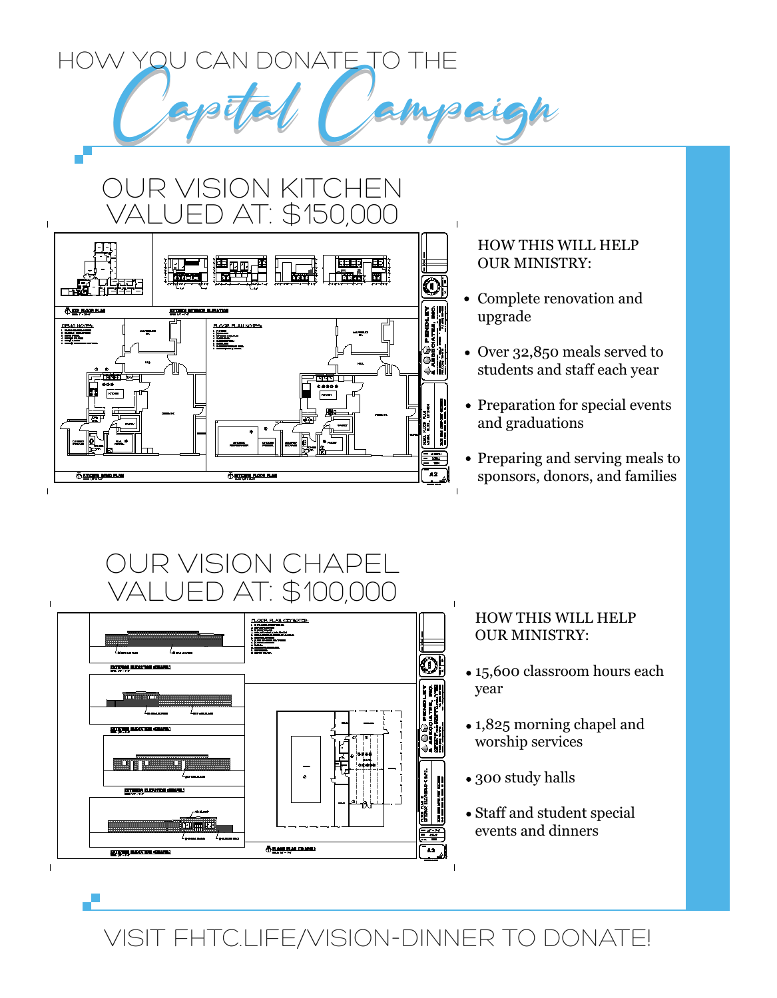HOW YOU CAN DONATE TO THE

ISION KITCHEN

# AT: \$150,000 **THEY ROOK PLAI** 3 89 196000 1 000 SEARCHES<br>SERLORDS - VREL PLA<br>SERRAND REAGEN **TTCHEN FLOOR PLAN**  $\mathbf{I}$

### HOW THIS WILL HELP OUR MINISTRY:

 $\mathbf{I}$ 

- Complete renovation and upgrade
- Over 32,850 meals served to students and staff each year
- Preparation for special events and graduations
- Preparing and serving meals to sponsors, donors, and families

# OUR VISION CHAPEL ED AT: \$100,000



### HOW THIS WILL HELP OUR MINISTRY:

- 15,600 classroom hours each year
- 1,825 morning chapel and worship services
- 300 study halls
- Staff and student special events and dinners

VISIT FHTC.LIFE/VISION-DINNER TO DONATE!